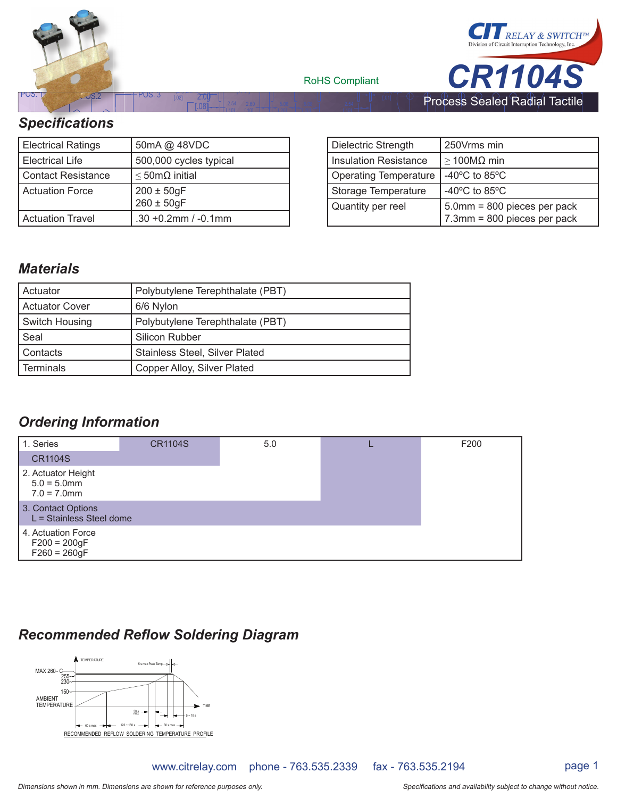

| <b>Electrical Ratings</b> | 50mA @ 48VDC                       |
|---------------------------|------------------------------------|
| <b>Electrical Life</b>    | 500,000 cycles typical             |
| <b>Contact Resistance</b> | $\leq$ 50m $\Omega$ initial        |
| <b>Actuation Force</b>    | $200 \pm 50$ gF<br>$260 \pm 50$ gF |
| <b>Actuation Travel</b>   | $.30 + 0.2$ mm / $-0.1$ mm         |

| Dielectric Strength          | 250Vrms min                                                |
|------------------------------|------------------------------------------------------------|
| Insulation Resistance        | $\geq$ 100MΩ min                                           |
| <b>Operating Temperature</b> | -40 $\degree$ C to 85 $\degree$ C                          |
| Storage Temperature          | -40 $^{\circ}$ C to 85 $^{\circ}$ C                        |
| Quantity per reel            | 5.0mm = 800 pieces per pack<br>7.3mm = 800 pieces per pack |

# *Materials*

| <b>Actuator</b> | Polybutylene Terephthalate (PBT)      |  |  |
|-----------------|---------------------------------------|--|--|
| Actuator Cover  | 6/6 Nylon                             |  |  |
| Switch Housing  | Polybutylene Terephthalate (PBT)      |  |  |
| Seal            | Silicon Rubber                        |  |  |
| l Contacts      | <b>Stainless Steel, Silver Plated</b> |  |  |
| l Terminals     | Copper Alloy, Silver Plated           |  |  |

# *Ordering Information*

| 1. Series                                              | <b>CR1104S</b> | 5.0 | F200 |
|--------------------------------------------------------|----------------|-----|------|
| <b>CR1104S</b>                                         |                |     |      |
| 2. Actuator Height<br>$5.0 = 5.0$ mm<br>$7.0 = 7.0$ mm |                |     |      |
| 3. Contact Options<br>L = Stainless Steel dome         |                |     |      |
| 4. Actuation Force<br>$F200 = 200gF$<br>$F260 = 260gF$ |                |     |      |

# **Recommended Reflow Soldering Diagram**



www.citrelay.com phone - 763.535.2339 fax - 763.535.2194 page 1